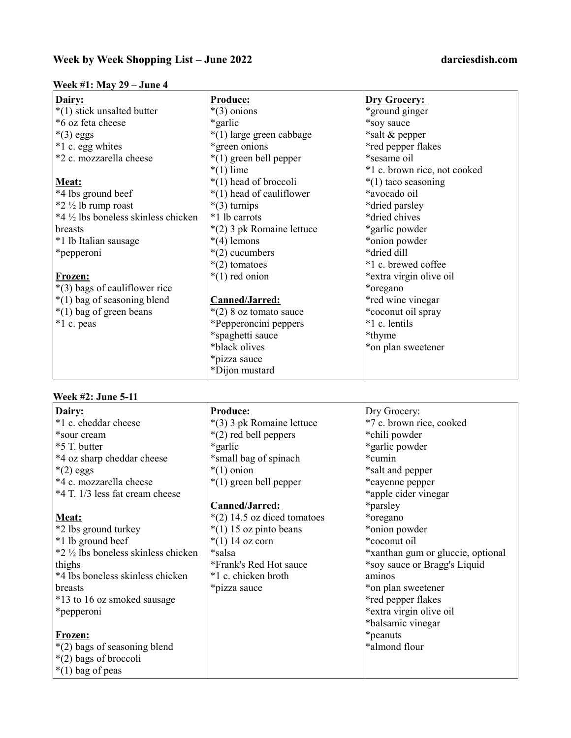### Week #1: May 29 – June 4

| Dairy:                               | Produce:                  | <b>Dry Grocery:</b>          |
|--------------------------------------|---------------------------|------------------------------|
| *(1) stick unsalted butter           | $*(3)$ onions             | *ground ginger               |
| *6 oz feta cheese                    | *garlic                   | *soy sauce                   |
| $*(3)$ eggs                          | *(1) large green cabbage  | *salt & pepper               |
| *1 c. egg whites                     | *green onions             | *red pepper flakes           |
| *2 c. mozzarella cheese              | $*(1)$ green bell pepper  | *sesame oil                  |
|                                      | $*(1)$ lime               | *1 c. brown rice, not cooked |
| Meat:                                | $*(1)$ head of broccoli   | $*(1)$ taco seasoning        |
| *4 lbs ground beef                   | *(1) head of cauliflower  | *avocado oil                 |
| $*2 \frac{1}{2}$ lb rump roast       | $*(3)$ turnips            | *dried parsley               |
| *4 1/2 lbs boneless skinless chicken | *1 lb carrots             | *dried chives                |
| breasts                              | *(2) 3 pk Romaine lettuce | *garlic powder               |
| *1 lb Italian sausage                | $*(4)$ lemons             | *onion powder                |
| *pepperoni                           | *(2) cucumbers            | *dried dill                  |
|                                      | $*(2)$ tomatoes           | *1 c. brewed coffee          |
| Frozen:                              | $*(1)$ red onion          | *extra virgin olive oil      |
| *(3) bags of cauliflower rice        |                           | *oregano                     |
| *(1) bag of seasoning blend          | Canned/Jarred:            | *red wine vinegar            |
| $*(1)$ bag of green beans            | $*(2)$ 8 oz tomato sauce  | *coconut oil spray           |
| *1 c. peas                           | *Pepperoncini peppers     | *1 c. lentils                |
|                                      | *spaghetti sauce          | *thyme                       |
|                                      | *black olives             | *on plan sweetener           |
|                                      | *pizza sauce              |                              |
|                                      | *Dijon mustard            |                              |

# Week #2: June 5-11

| Dairy:                               | <b>Produce:</b>               | Dry Grocery:                      |
|--------------------------------------|-------------------------------|-----------------------------------|
| *1 c. cheddar cheese                 | *(3) 3 pk Romaine lettuce     | *7 c. brown rice, cooked          |
| *sour cream                          | $*(2)$ red bell peppers       | *chili powder                     |
| *5 T. butter                         | *garlic                       | *garlic powder                    |
| *4 oz sharp cheddar cheese           | *small bag of spinach         | *cumin                            |
| $*(2)$ eggs                          | $*(1)$ onion                  | *salt and pepper                  |
| *4 c. mozzarella cheese              | $*(1)$ green bell pepper      | *cayenne pepper                   |
| *4 T. 1/3 less fat cream cheese      |                               | *apple cider vinegar              |
|                                      | Canned/Jarred:                | *parsley                          |
| Meat:                                | $*(2)$ 14.5 oz diced tomatoes | *oregano                          |
| *2 lbs ground turkey                 | $*(1)$ 15 oz pinto beans      | *onion powder                     |
| *1 lb ground beef                    | $*(1)$ 14 oz corn             | *coconut oil                      |
| *2 1/2 lbs boneless skinless chicken | *salsa                        | *xanthan gum or gluccie, optional |
| thighs                               | *Frank's Red Hot sauce        | *soy sauce or Bragg's Liquid      |
| *4 lbs boneless skinless chicken     | *1 c. chicken broth           | aminos                            |
| <b>breasts</b>                       | *pizza sauce                  | *on plan sweetener                |
| *13 to 16 oz smoked sausage          |                               | *red pepper flakes                |
| *pepperoni                           |                               | *extra virgin olive oil           |
|                                      |                               | *balsamic vinegar                 |
| Frozen:                              |                               | <i>*</i> peanuts                  |
| *(2) bags of seasoning blend         |                               | *almond flour                     |
| *(2) bags of broccoli                |                               |                                   |
| $*(1)$ bag of peas                   |                               |                                   |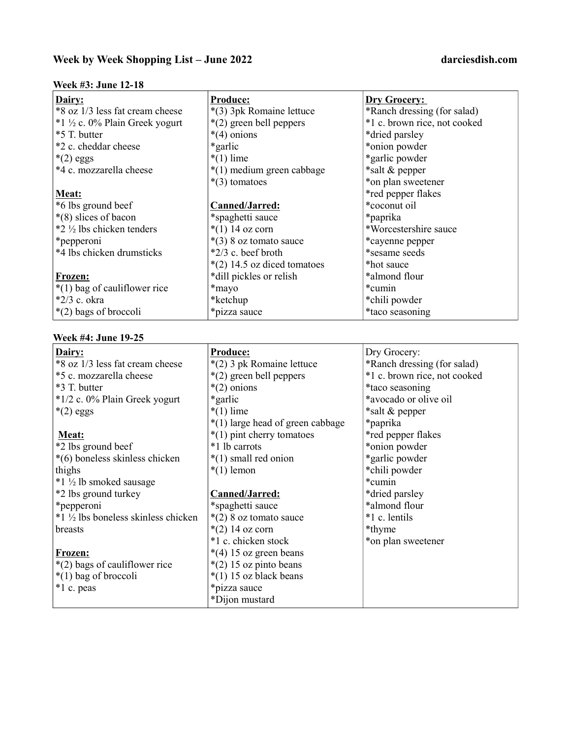# Week by Week Shopping List – June 2022 darciesdish.com

### Week #3: June 12-18

| Dairy:                                   | <b>Produce:</b>               | <b>Dry Grocery:</b>          |
|------------------------------------------|-------------------------------|------------------------------|
| *8 oz 1/3 less fat cream cheese          | *(3) 3pk Romaine lettuce      | *Ranch dressing (for salad)  |
| $*1\frac{1}{2}$ c. 0% Plain Greek yogurt | *(2) green bell peppers       | *1 c. brown rice, not cooked |
| *5 T. butter                             | $*(4)$ onions                 | *dried parsley               |
| *2 c. cheddar cheese                     | *garlic*                      | *onion powder                |
| $*(2)$ eggs                              | $*(1)$ lime                   | *garlic powder               |
| *4 c. mozzarella cheese                  | *(1) medium green cabbage     | *salt & pepper               |
|                                          | $*(3)$ tomatoes               | *on plan sweetener           |
| Meat:                                    |                               | *red pepper flakes           |
| *6 lbs ground beef                       | Canned/Jarred:                | *coconut oil                 |
| $\ast$ (8) slices of bacon               | *spaghetti sauce              | *paprika                     |
| $*2\frac{1}{2}$ lbs chicken tenders      | $*(1)$ 14 oz corn             | *Worcestershire sauce        |
| *pepperoni                               | $*(3)$ 8 oz tomato sauce      | *cayenne pepper              |
| *4 lbs chicken drumsticks                | $*2/3$ c. beef broth          | *sesame seeds                |
|                                          | $*(2)$ 14.5 oz diced tomatoes | *hot sauce                   |
| Frozen:                                  | *dill pickles or relish       | *almond flour                |
| $*(1)$ bag of cauliflower rice           | *mayo                         | *cumin                       |
| $*2/3$ c. okra                           | *ketchup                      | *chili powder                |
| $*(2)$ bags of broccoli                  | *pizza sauce                  | *taco seasoning              |

# Week #4: June 19-25

| Dairy:                             | Produce:                         | Dry Grocery:                 |
|------------------------------------|----------------------------------|------------------------------|
| *8 oz 1/3 less fat cream cheese    | *(2) 3 pk Romaine lettuce        | *Ranch dressing (for salad)  |
| *5 c. mozzarella cheese            | $*(2)$ green bell peppers        | *1 c. brown rice, not cooked |
| *3 T. butter                       | $*(2)$ onions                    | *taco seasoning              |
| *1/2 c. 0% Plain Greek yogurt      | *garlic                          | *avocado or olive oil        |
| $*(2)$ eggs                        | $*(1)$ lime                      | *salt & pepper               |
|                                    | *(1) large head of green cabbage | *paprika                     |
| Meat:                              | *(1) pint cherry tomatoes        | *red pepper flakes           |
| *2 lbs ground beef                 | *1 lb carrots                    | *onion powder                |
| *(6) boneless skinless chicken     | $*(1)$ small red onion           | *garlic powder               |
| thighs                             | $*(1)$ lemon                     | *chili powder                |
| $*1 \frac{1}{2}$ lb smoked sausage |                                  | *cumin                       |
| *2 lbs ground turkey               | Canned/Jarred:                   | *dried parsley               |
| *pepperoni                         | *spaghetti sauce                 | *almond flour                |
| *1 ½ lbs boneless skinless chicken | $*(2)$ 8 oz tomato sauce         | *1 c. lentils                |
| breasts                            | $*(2)$ 14 oz corn                | *thyme                       |
|                                    | *1 c. chicken stock              | *on plan sweetener           |
| Frozen:                            | $*(4)$ 15 oz green beans         |                              |
| *(2) bags of cauliflower rice      | $*(2)$ 15 oz pinto beans         |                              |
| $*(1)$ bag of broccoli             | $*(1)$ 15 oz black beans         |                              |
| *1 c. peas                         | *pizza sauce                     |                              |
|                                    | *Dijon mustard                   |                              |